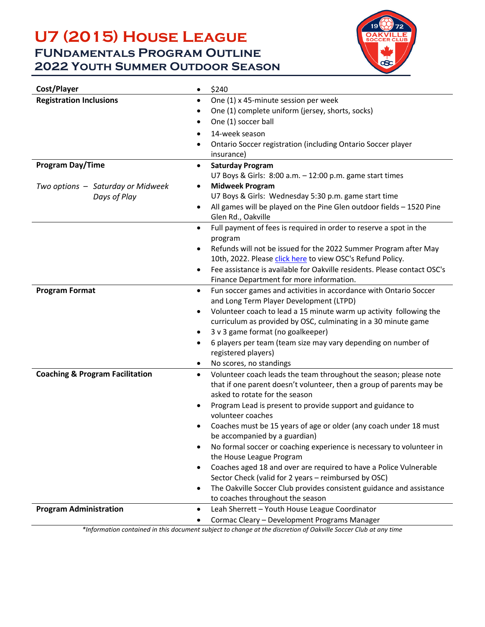## **U7 (2015) House League FUNdamentals Program Outline 2022 Youth Summer Outdoor Season**



| Cost/Player<br>$\bullet$                                | \$240                                                                                                                                     |  |  |
|---------------------------------------------------------|-------------------------------------------------------------------------------------------------------------------------------------------|--|--|
| <b>Registration Inclusions</b><br>٠                     | One (1) x 45-minute session per week                                                                                                      |  |  |
|                                                         | One (1) complete uniform (jersey, shorts, socks)                                                                                          |  |  |
| ٠                                                       | One (1) soccer ball                                                                                                                       |  |  |
| $\bullet$                                               | 14-week season                                                                                                                            |  |  |
| ٠                                                       | Ontario Soccer registration (including Ontario Soccer player                                                                              |  |  |
|                                                         | insurance)                                                                                                                                |  |  |
| <b>Program Day/Time</b><br>٠                            | <b>Saturday Program</b>                                                                                                                   |  |  |
|                                                         | U7 Boys & Girls: 8:00 a.m. - 12:00 p.m. game start times                                                                                  |  |  |
| Two options - Saturday or Midweek<br>$\bullet$          | <b>Midweek Program</b>                                                                                                                    |  |  |
| Days of Play                                            | U7 Boys & Girls: Wednesday 5:30 p.m. game start time                                                                                      |  |  |
| $\bullet$                                               | All games will be played on the Pine Glen outdoor fields - 1520 Pine<br>Glen Rd., Oakville                                                |  |  |
| $\bullet$                                               | Full payment of fees is required in order to reserve a spot in the<br>program                                                             |  |  |
| $\bullet$                                               | Refunds will not be issued for the 2022 Summer Program after May                                                                          |  |  |
|                                                         | 10th, 2022. Please click here to view OSC's Refund Policy.                                                                                |  |  |
| $\bullet$                                               | Fee assistance is available for Oakville residents. Please contact OSC's                                                                  |  |  |
|                                                         | Finance Department for more information.                                                                                                  |  |  |
| <b>Program Format</b><br>$\bullet$                      | Fun soccer games and activities in accordance with Ontario Soccer                                                                         |  |  |
|                                                         | and Long Term Player Development (LTPD)                                                                                                   |  |  |
| $\bullet$                                               | Volunteer coach to lead a 15 minute warm up activity following the                                                                        |  |  |
|                                                         | curriculum as provided by OSC, culminating in a 30 minute game                                                                            |  |  |
| ٠                                                       | 3 v 3 game format (no goalkeeper)                                                                                                         |  |  |
| ٠                                                       | 6 players per team (team size may vary depending on number of                                                                             |  |  |
|                                                         | registered players)                                                                                                                       |  |  |
| ٠                                                       | No scores, no standings                                                                                                                   |  |  |
| <b>Coaching &amp; Program Facilitation</b><br>$\bullet$ | Volunteer coach leads the team throughout the season; please note<br>that if one parent doesn't volunteer, then a group of parents may be |  |  |
|                                                         | asked to rotate for the season                                                                                                            |  |  |
| $\bullet$                                               | Program Lead is present to provide support and guidance to                                                                                |  |  |
|                                                         | volunteer coaches                                                                                                                         |  |  |
|                                                         | Coaches must be 15 years of age or older (any coach under 18 must                                                                         |  |  |
|                                                         | be accompanied by a guardian)                                                                                                             |  |  |
| ٠                                                       | No formal soccer or coaching experience is necessary to volunteer in                                                                      |  |  |
|                                                         | the House League Program                                                                                                                  |  |  |
| $\bullet$                                               | Coaches aged 18 and over are required to have a Police Vulnerable                                                                         |  |  |
|                                                         | Sector Check (valid for 2 years - reimbursed by OSC)                                                                                      |  |  |
| $\bullet$                                               | The Oakville Soccer Club provides consistent guidance and assistance                                                                      |  |  |
|                                                         | to coaches throughout the season                                                                                                          |  |  |
| <b>Program Administration</b><br>$\bullet$              | Leah Sherrett - Youth House League Coordinator                                                                                            |  |  |
|                                                         | Cormac Cleary - Development Programs Manager                                                                                              |  |  |

*\*Information contained in this document subject to change at the discretion of Oakville Soccer Club at any time*